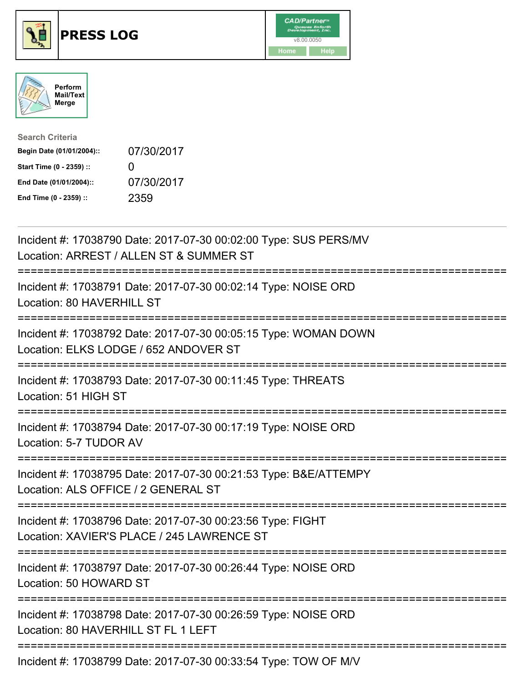





| <b>Search Criteria</b>    |                   |
|---------------------------|-------------------|
| Begin Date (01/01/2004):: | 07/30/2017        |
| Start Time (0 - 2359) ::  | $\mathbf{\Omega}$ |
| End Date (01/01/2004)::   | 07/30/2017        |
| End Time (0 - 2359) ::    | 2359              |

| Incident #: 17038790 Date: 2017-07-30 00:02:00 Type: SUS PERS/MV<br>Location: ARREST / ALLEN ST & SUMMER ST                                    |
|------------------------------------------------------------------------------------------------------------------------------------------------|
| Incident #: 17038791 Date: 2017-07-30 00:02:14 Type: NOISE ORD<br>Location: 80 HAVERHILL ST                                                    |
| Incident #: 17038792 Date: 2017-07-30 00:05:15 Type: WOMAN DOWN<br>Location: ELKS LODGE / 652 ANDOVER ST                                       |
| Incident #: 17038793 Date: 2017-07-30 00:11:45 Type: THREATS<br>Location: 51 HIGH ST                                                           |
| Incident #: 17038794 Date: 2017-07-30 00:17:19 Type: NOISE ORD<br>Location: 5-7 TUDOR AV                                                       |
| Incident #: 17038795 Date: 2017-07-30 00:21:53 Type: B&E/ATTEMPY<br>Location: ALS OFFICE / 2 GENERAL ST                                        |
| Incident #: 17038796 Date: 2017-07-30 00:23:56 Type: FIGHT<br>Location: XAVIER'S PLACE / 245 LAWRENCE ST<br>================================== |
| Incident #: 17038797 Date: 2017-07-30 00:26:44 Type: NOISE ORD<br>Location: 50 HOWARD ST                                                       |
| Incident #: 17038798 Date: 2017-07-30 00:26:59 Type: NOISE ORD<br>Location: 80 HAVERHILL ST FL 1 LEFT                                          |
| Incident #: 17038799 Date: 2017-07-30 00:33:54 Type: TOW OF M/V                                                                                |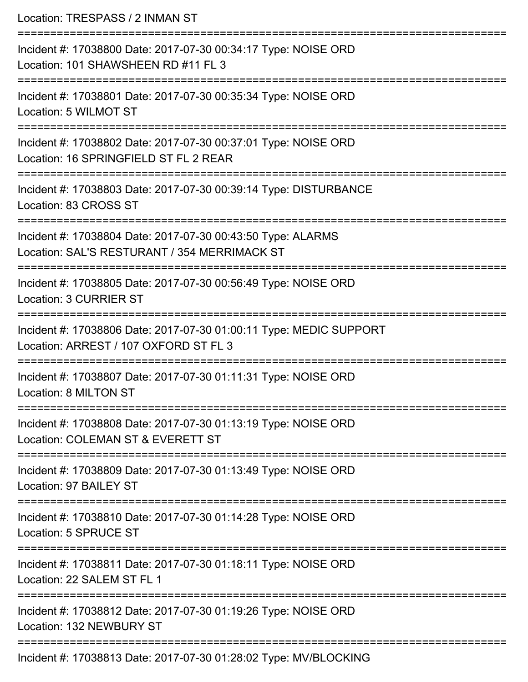Location: TRESPASS / 2 INMAN ST =========================================================================== Incident #: 17038800 Date: 2017-07-30 00:34:17 Type: NOISE ORD Location: 101 SHAWSHEEN RD #11 FL 3 =========================================================================== Incident #: 17038801 Date: 2017-07-30 00:35:34 Type: NOISE ORD Location: 5 WILMOT ST =========================================================================== Incident #: 17038802 Date: 2017-07-30 00:37:01 Type: NOISE ORD Location: 16 SPRINGFIELD ST FL 2 REAR =========================================================================== Incident #: 17038803 Date: 2017-07-30 00:39:14 Type: DISTURBANCE Location: 83 CROSS ST =========================== Incident #: 17038804 Date: 2017-07-30 00:43:50 Type: ALARMS Location: SAL'S RESTURANT / 354 MERRIMACK ST =========================================================================== Incident #: 17038805 Date: 2017-07-30 00:56:49 Type: NOISE ORD Location: 3 CURRIER ST =========================================================================== Incident #: 17038806 Date: 2017-07-30 01:00:11 Type: MEDIC SUPPORT Location: ARREST / 107 OXFORD ST FL 3 =========================================================================== Incident #: 17038807 Date: 2017-07-30 01:11:31 Type: NOISE ORD Location: 8 MILTON ST =========================================================================== Incident #: 17038808 Date: 2017-07-30 01:13:19 Type: NOISE ORD Location: COLEMAN ST & EVERETT ST =========================================================================== Incident #: 17038809 Date: 2017-07-30 01:13:49 Type: NOISE ORD Location: 97 BAILEY ST =========================================================================== Incident #: 17038810 Date: 2017-07-30 01:14:28 Type: NOISE ORD Location: 5 SPRUCE ST =========================================================================== Incident #: 17038811 Date: 2017-07-30 01:18:11 Type: NOISE ORD Location: 22 SALEM ST FL 1 =========================================================================== Incident #: 17038812 Date: 2017-07-30 01:19:26 Type: NOISE ORD Location: 132 NEWBURY ST =========================================================================== Incident #: 17038813 Date: 2017-07-30 01:28:02 Type: MV/BLOCKING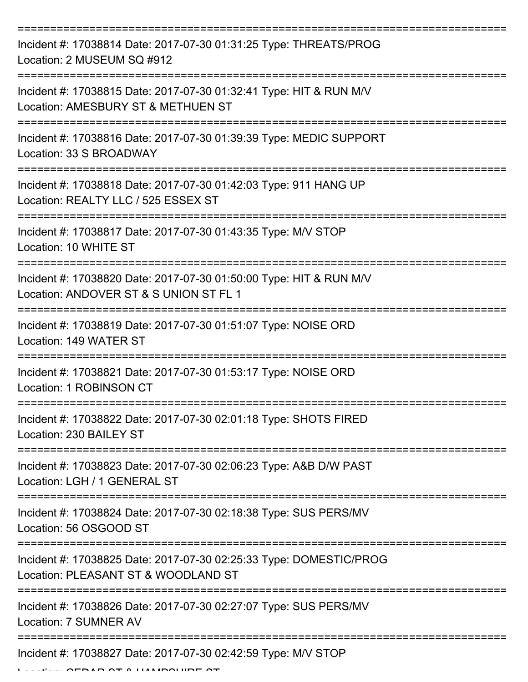| Incident #: 17038814 Date: 2017-07-30 01:31:25 Type: THREATS/PROG<br>Location: 2 MUSEUM SQ #912                        |
|------------------------------------------------------------------------------------------------------------------------|
| Incident #: 17038815 Date: 2017-07-30 01:32:41 Type: HIT & RUN M/V<br>Location: AMESBURY ST & METHUEN ST               |
| Incident #: 17038816 Date: 2017-07-30 01:39:39 Type: MEDIC SUPPORT<br>Location: 33 S BROADWAY                          |
| Incident #: 17038818 Date: 2017-07-30 01:42:03 Type: 911 HANG UP<br>Location: REALTY LLC / 525 ESSEX ST                |
| Incident #: 17038817 Date: 2017-07-30 01:43:35 Type: M/V STOP<br>Location: 10 WHITE ST                                 |
| Incident #: 17038820 Date: 2017-07-30 01:50:00 Type: HIT & RUN M/V<br>Location: ANDOVER ST & S UNION ST FL 1           |
| Incident #: 17038819 Date: 2017-07-30 01:51:07 Type: NOISE ORD<br>Location: 149 WATER ST                               |
| Incident #: 17038821 Date: 2017-07-30 01:53:17 Type: NOISE ORD<br>Location: 1 ROBINSON CT                              |
| Incident #: 17038822 Date: 2017-07-30 02:01:18 Type: SHOTS FIRED<br>Location: 230 BAILEY ST<br>----------------        |
| Incident #: 17038823 Date: 2017-07-30 02:06:23 Type: A&B D/W PAST<br>Location: LGH / 1 GENERAL ST                      |
| Incident #: 17038824 Date: 2017-07-30 02:18:38 Type: SUS PERS/MV<br>Location: 56 OSGOOD ST<br>======================== |
| Incident #: 17038825 Date: 2017-07-30 02:25:33 Type: DOMESTIC/PROG<br>Location: PLEASANT ST & WOODLAND ST              |
| Incident #: 17038826 Date: 2017-07-30 02:27:07 Type: SUS PERS/MV<br>Location: 7 SUMNER AV                              |
| Incident #: 17038827 Date: 2017-07-30 02:42:59 Type: M/V STOP                                                          |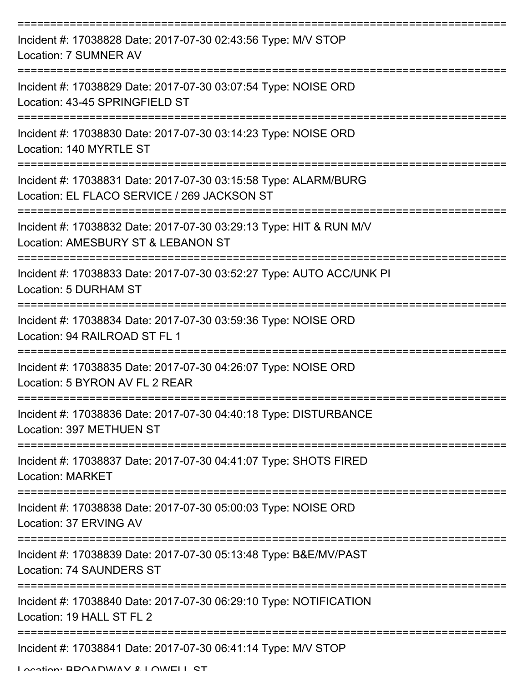| Incident #: 17038828 Date: 2017-07-30 02:43:56 Type: M/V STOP<br>Location: 7 SUMNER AV                         |
|----------------------------------------------------------------------------------------------------------------|
| Incident #: 17038829 Date: 2017-07-30 03:07:54 Type: NOISE ORD<br>Location: 43-45 SPRINGFIELD ST               |
| Incident #: 17038830 Date: 2017-07-30 03:14:23 Type: NOISE ORD<br>Location: 140 MYRTLE ST                      |
| Incident #: 17038831 Date: 2017-07-30 03:15:58 Type: ALARM/BURG<br>Location: EL FLACO SERVICE / 269 JACKSON ST |
| Incident #: 17038832 Date: 2017-07-30 03:29:13 Type: HIT & RUN M/V<br>Location: AMESBURY ST & LEBANON ST       |
| Incident #: 17038833 Date: 2017-07-30 03:52:27 Type: AUTO ACC/UNK PI<br>Location: 5 DURHAM ST                  |
| Incident #: 17038834 Date: 2017-07-30 03:59:36 Type: NOISE ORD<br>Location: 94 RAILROAD ST FL 1                |
| Incident #: 17038835 Date: 2017-07-30 04:26:07 Type: NOISE ORD<br>Location: 5 BYRON AV FL 2 RFAR               |
| Incident #: 17038836 Date: 2017-07-30 04:40:18 Type: DISTURBANCE<br>Location: 397 METHUEN ST                   |
| Incident #: 17038837 Date: 2017-07-30 04:41:07 Type: SHOTS FIRED<br><b>Location: MARKET</b>                    |
| Incident #: 17038838 Date: 2017-07-30 05:00:03 Type: NOISE ORD<br>Location: 37 ERVING AV                       |
| Incident #: 17038839 Date: 2017-07-30 05:13:48 Type: B&E/MV/PAST<br><b>Location: 74 SAUNDERS ST</b>            |
| Incident #: 17038840 Date: 2017-07-30 06:29:10 Type: NOTIFICATION<br>Location: 19 HALL ST FL 2                 |
| Incident #: 17038841 Date: 2017-07-30 06:41:14 Type: M/V STOP<br>I ocation: RDOADMAV & I OMELL CT              |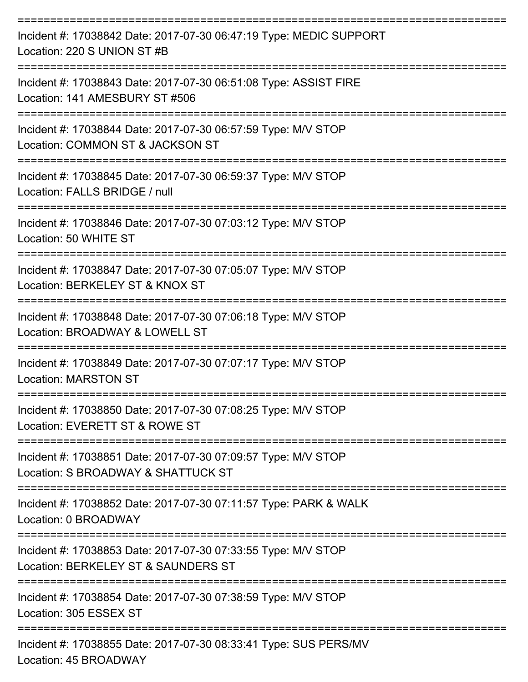| Incident #: 17038842 Date: 2017-07-30 06:47:19 Type: MEDIC SUPPORT<br>Location: 220 S UNION ST #B    |
|------------------------------------------------------------------------------------------------------|
| Incident #: 17038843 Date: 2017-07-30 06:51:08 Type: ASSIST FIRE<br>Location: 141 AMESBURY ST #506   |
| Incident #: 17038844 Date: 2017-07-30 06:57:59 Type: M/V STOP<br>Location: COMMON ST & JACKSON ST    |
| Incident #: 17038845 Date: 2017-07-30 06:59:37 Type: M/V STOP<br>Location: FALLS BRIDGE / null       |
| Incident #: 17038846 Date: 2017-07-30 07:03:12 Type: M/V STOP<br>Location: 50 WHITE ST               |
| Incident #: 17038847 Date: 2017-07-30 07:05:07 Type: M/V STOP<br>Location: BERKELEY ST & KNOX ST     |
| Incident #: 17038848 Date: 2017-07-30 07:06:18 Type: M/V STOP<br>Location: BROADWAY & LOWELL ST      |
| Incident #: 17038849 Date: 2017-07-30 07:07:17 Type: M/V STOP<br><b>Location: MARSTON ST</b>         |
| Incident #: 17038850 Date: 2017-07-30 07:08:25 Type: M/V STOP<br>Location: EVERETT ST & ROWE ST      |
| Incident #: 17038851 Date: 2017-07-30 07:09:57 Type: M/V STOP<br>Location: S BROADWAY & SHATTUCK ST  |
| Incident #: 17038852 Date: 2017-07-30 07:11:57 Type: PARK & WALK<br>Location: 0 BROADWAY             |
| Incident #: 17038853 Date: 2017-07-30 07:33:55 Type: M/V STOP<br>Location: BERKELEY ST & SAUNDERS ST |
| Incident #: 17038854 Date: 2017-07-30 07:38:59 Type: M/V STOP<br>Location: 305 ESSEX ST              |
| Incident #: 17038855 Date: 2017-07-30 08:33:41 Type: SUS PERS/MV<br>$L$ costion: $AE$ DDO $M$ DI $M$ |

Location: 45 BROADWAY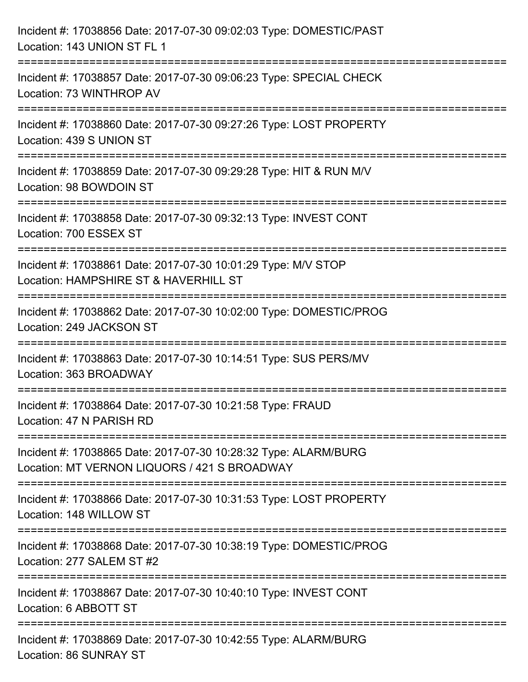| Incident #: 17038856 Date: 2017-07-30 09:02:03 Type: DOMESTIC/PAST<br>Location: 143 UNION ST FL 1                     |
|-----------------------------------------------------------------------------------------------------------------------|
| Incident #: 17038857 Date: 2017-07-30 09:06:23 Type: SPECIAL CHECK<br>Location: 73 WINTHROP AV                        |
| Incident #: 17038860 Date: 2017-07-30 09:27:26 Type: LOST PROPERTY<br>Location: 439 S UNION ST                        |
| Incident #: 17038859 Date: 2017-07-30 09:29:28 Type: HIT & RUN M/V<br>Location: 98 BOWDOIN ST                         |
| Incident #: 17038858 Date: 2017-07-30 09:32:13 Type: INVEST CONT<br>Location: 700 ESSEX ST                            |
| Incident #: 17038861 Date: 2017-07-30 10:01:29 Type: M/V STOP<br>Location: HAMPSHIRE ST & HAVERHILL ST                |
| ===================<br>Incident #: 17038862 Date: 2017-07-30 10:02:00 Type: DOMESTIC/PROG<br>Location: 249 JACKSON ST |
| Incident #: 17038863 Date: 2017-07-30 10:14:51 Type: SUS PERS/MV<br>Location: 363 BROADWAY                            |
| Incident #: 17038864 Date: 2017-07-30 10:21:58 Type: FRAUD<br>Location: 47 N PARISH RD                                |
| Incident #: 17038865 Date: 2017-07-30 10:28:32 Type: ALARM/BURG<br>Location: MT VERNON LIQUORS / 421 S BROADWAY       |
| Incident #: 17038866 Date: 2017-07-30 10:31:53 Type: LOST PROPERTY<br>Location: 148 WILLOW ST                         |
| Incident #: 17038868 Date: 2017-07-30 10:38:19 Type: DOMESTIC/PROG<br>Location: 277 SALEM ST #2                       |
| Incident #: 17038867 Date: 2017-07-30 10:40:10 Type: INVEST CONT<br>Location: 6 ABBOTT ST                             |
| Incident #: 17038869 Date: 2017-07-30 10:42:55 Type: ALARM/BURG<br>Location: 86 SUNRAY ST                             |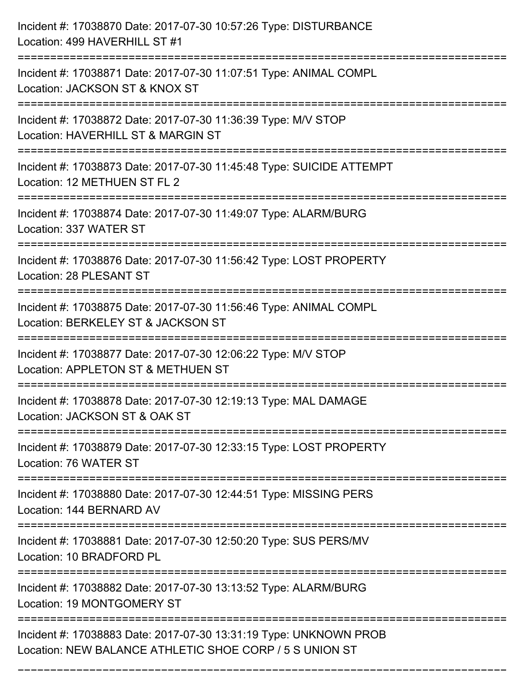| Incident #: 17038870 Date: 2017-07-30 10:57:26 Type: DISTURBANCE<br>Location: 499 HAVERHILL ST #1                                |
|----------------------------------------------------------------------------------------------------------------------------------|
| =========================<br>Incident #: 17038871 Date: 2017-07-30 11:07:51 Type: ANIMAL COMPL<br>Location: JACKSON ST & KNOX ST |
| Incident #: 17038872 Date: 2017-07-30 11:36:39 Type: M/V STOP<br>Location: HAVERHILL ST & MARGIN ST<br>=======================   |
| Incident #: 17038873 Date: 2017-07-30 11:45:48 Type: SUICIDE ATTEMPT<br>Location: 12 METHUEN ST FL 2                             |
| Incident #: 17038874 Date: 2017-07-30 11:49:07 Type: ALARM/BURG<br>Location: 337 WATER ST                                        |
| Incident #: 17038876 Date: 2017-07-30 11:56:42 Type: LOST PROPERTY<br>Location: 28 PLESANT ST                                    |
| Incident #: 17038875 Date: 2017-07-30 11:56:46 Type: ANIMAL COMPL<br>Location: BERKELEY ST & JACKSON ST                          |
| Incident #: 17038877 Date: 2017-07-30 12:06:22 Type: M/V STOP<br>Location: APPLETON ST & METHUEN ST                              |
| Incident #: 17038878 Date: 2017-07-30 12:19:13 Type: MAL DAMAGE<br>Location: JACKSON ST & OAK ST                                 |
| Incident #: 17038879 Date: 2017-07-30 12:33:15 Type: LOST PROPERTY<br>Location: 76 WATER ST                                      |
| Incident #: 17038880 Date: 2017-07-30 12:44:51 Type: MISSING PERS<br>Location: 144 BERNARD AV                                    |
| Incident #: 17038881 Date: 2017-07-30 12:50:20 Type: SUS PERS/MV<br>Location: 10 BRADFORD PL                                     |
| Incident #: 17038882 Date: 2017-07-30 13:13:52 Type: ALARM/BURG<br>Location: 19 MONTGOMERY ST                                    |
| Incident #: 17038883 Date: 2017-07-30 13:31:19 Type: UNKNOWN PROB<br>Location: NEW BALANCE ATHLETIC SHOE CORP / 5 S UNION ST     |

===========================================================================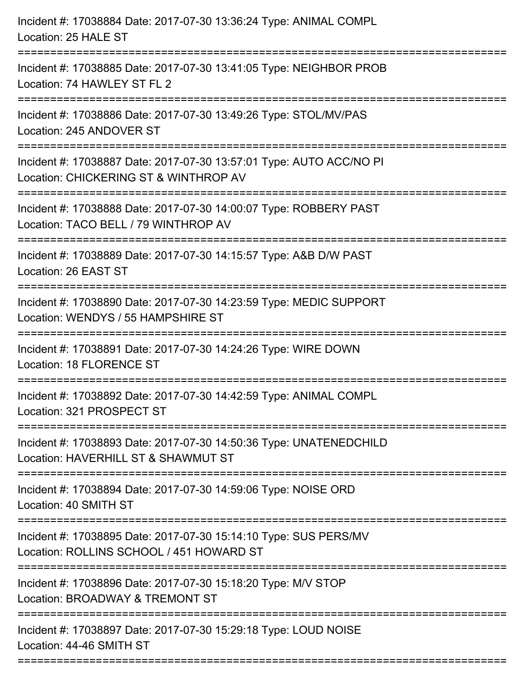| Incident #: 17038884 Date: 2017-07-30 13:36:24 Type: ANIMAL COMPL<br>Location: 25 HALE ST                    |
|--------------------------------------------------------------------------------------------------------------|
| Incident #: 17038885 Date: 2017-07-30 13:41:05 Type: NEIGHBOR PROB<br>Location: 74 HAWLEY ST FL 2            |
| Incident #: 17038886 Date: 2017-07-30 13:49:26 Type: STOL/MV/PAS<br>Location: 245 ANDOVER ST                 |
| Incident #: 17038887 Date: 2017-07-30 13:57:01 Type: AUTO ACC/NO PI<br>Location: CHICKERING ST & WINTHROP AV |
| Incident #: 17038888 Date: 2017-07-30 14:00:07 Type: ROBBERY PAST<br>Location: TACO BELL / 79 WINTHROP AV    |
| Incident #: 17038889 Date: 2017-07-30 14:15:57 Type: A&B D/W PAST<br>Location: 26 EAST ST                    |
| Incident #: 17038890 Date: 2017-07-30 14:23:59 Type: MEDIC SUPPORT<br>Location: WENDYS / 55 HAMPSHIRE ST     |
| Incident #: 17038891 Date: 2017-07-30 14:24:26 Type: WIRE DOWN<br>Location: 18 FLORENCE ST                   |
| Incident #: 17038892 Date: 2017-07-30 14:42:59 Type: ANIMAL COMPL<br>Location: 321 PROSPECT ST               |
| Incident #: 17038893 Date: 2017-07-30 14:50:36 Type: UNATENEDCHILD<br>Location: HAVERHILL ST & SHAWMUT ST    |
| Incident #: 17038894 Date: 2017-07-30 14:59:06 Type: NOISE ORD<br>Location: 40 SMITH ST                      |
| Incident #: 17038895 Date: 2017-07-30 15:14:10 Type: SUS PERS/MV<br>Location: ROLLINS SCHOOL / 451 HOWARD ST |
| Incident #: 17038896 Date: 2017-07-30 15:18:20 Type: M/V STOP<br>Location: BROADWAY & TREMONT ST             |
| Incident #: 17038897 Date: 2017-07-30 15:29:18 Type: LOUD NOISE<br>Location: 44-46 SMITH ST                  |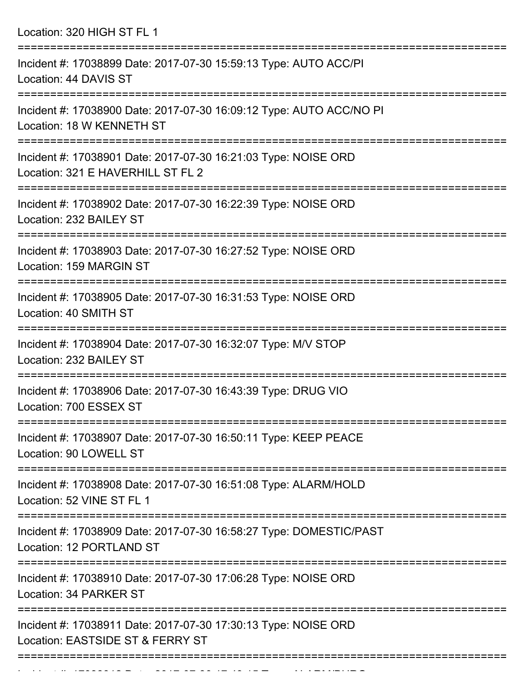Location: 320 HIGH ST FL 1

| Incident #: 17038899 Date: 2017-07-30 15:59:13 Type: AUTO ACC/PI<br>Location: 44 DAVIS ST                                    |
|------------------------------------------------------------------------------------------------------------------------------|
| Incident #: 17038900 Date: 2017-07-30 16:09:12 Type: AUTO ACC/NO PI<br>Location: 18 W KENNETH ST                             |
| Incident #: 17038901 Date: 2017-07-30 16:21:03 Type: NOISE ORD<br>Location: 321 E HAVERHILL ST FL 2                          |
| Incident #: 17038902 Date: 2017-07-30 16:22:39 Type: NOISE ORD<br>Location: 232 BAILEY ST                                    |
| Incident #: 17038903 Date: 2017-07-30 16:27:52 Type: NOISE ORD<br>Location: 159 MARGIN ST                                    |
| Incident #: 17038905 Date: 2017-07-30 16:31:53 Type: NOISE ORD<br>Location: 40 SMITH ST                                      |
| Incident #: 17038904 Date: 2017-07-30 16:32:07 Type: M/V STOP<br>Location: 232 BAILEY ST                                     |
| Incident #: 17038906 Date: 2017-07-30 16:43:39 Type: DRUG VIO<br>Location: 700 ESSEX ST                                      |
| ===============================<br>Incident #: 17038907 Date: 2017-07-30 16:50:11 Type: KEEP PEACE<br>Location: 90 LOWELL ST |
| Incident #: 17038908 Date: 2017-07-30 16:51:08 Type: ALARM/HOLD<br>Location: 52 VINE ST FL 1                                 |
| Incident #: 17038909 Date: 2017-07-30 16:58:27 Type: DOMESTIC/PAST<br>Location: 12 PORTLAND ST                               |
| Incident #: 17038910 Date: 2017-07-30 17:06:28 Type: NOISE ORD<br>Location: 34 PARKER ST                                     |
| Incident #: 17038911 Date: 2017-07-30 17:30:13 Type: NOISE ORD<br>Location: EASTSIDE ST & FERRY ST                           |
|                                                                                                                              |

Incident #: 17038912 Date: 2017 07 30 17:49:15 Type: ALARM/BURG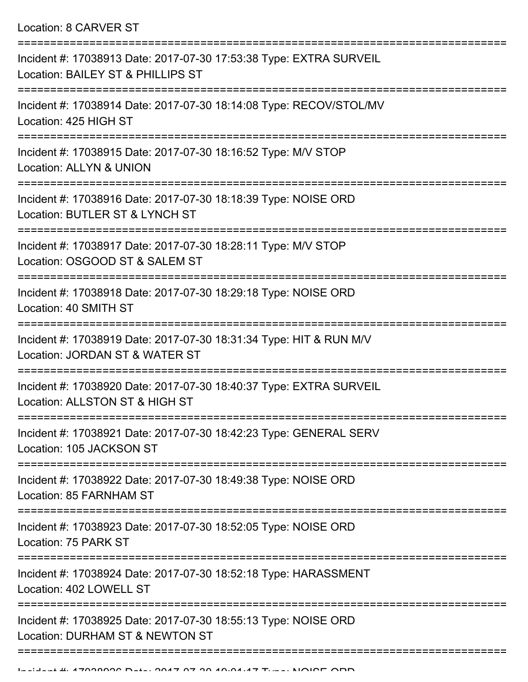Location: 8 CARVER ST

| Incident #: 17038913 Date: 2017-07-30 17:53:38 Type: EXTRA SURVEIL<br>Location: BAILEY ST & PHILLIPS ST                |
|------------------------------------------------------------------------------------------------------------------------|
| Incident #: 17038914 Date: 2017-07-30 18:14:08 Type: RECOV/STOL/MV<br>Location: 425 HIGH ST                            |
| Incident #: 17038915 Date: 2017-07-30 18:16:52 Type: M/V STOP<br><b>Location: ALLYN &amp; UNION</b>                    |
| Incident #: 17038916 Date: 2017-07-30 18:18:39 Type: NOISE ORD<br>Location: BUTLER ST & LYNCH ST                       |
| Incident #: 17038917 Date: 2017-07-30 18:28:11 Type: M/V STOP<br>Location: OSGOOD ST & SALEM ST                        |
| Incident #: 17038918 Date: 2017-07-30 18:29:18 Type: NOISE ORD<br>Location: 40 SMITH ST                                |
| Incident #: 17038919 Date: 2017-07-30 18:31:34 Type: HIT & RUN M/V<br>Location: JORDAN ST & WATER ST                   |
| Incident #: 17038920 Date: 2017-07-30 18:40:37 Type: EXTRA SURVEIL<br>Location: ALLSTON ST & HIGH ST                   |
| Incident #: 17038921 Date: 2017-07-30 18:42:23 Type: GENERAL SERV<br>Location: 105 JACKSON ST                          |
| =========================<br>Incident #: 17038922 Date: 2017-07-30 18:49:38 Type: NOISE ORD<br>Location: 85 FARNHAM ST |
| Incident #: 17038923 Date: 2017-07-30 18:52:05 Type: NOISE ORD<br>Location: 75 PARK ST                                 |
| Incident #: 17038924 Date: 2017-07-30 18:52:18 Type: HARASSMENT<br>Location: 402 LOWELL ST                             |
| Incident #: 17038925 Date: 2017-07-30 18:55:13 Type: NOISE ORD<br>Location: DURHAM ST & NEWTON ST                      |
|                                                                                                                        |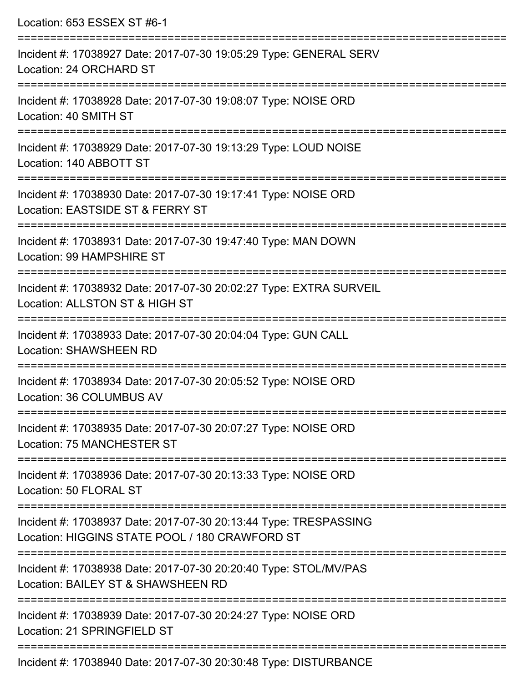| Location: 653 ESSEX ST #6-1                                                                                                                  |
|----------------------------------------------------------------------------------------------------------------------------------------------|
| Incident #: 17038927 Date: 2017-07-30 19:05:29 Type: GENERAL SERV<br>Location: 24 ORCHARD ST                                                 |
| Incident #: 17038928 Date: 2017-07-30 19:08:07 Type: NOISE ORD<br>Location: 40 SMITH ST                                                      |
| Incident #: 17038929 Date: 2017-07-30 19:13:29 Type: LOUD NOISE<br>Location: 140 ABBOTT ST<br>:============================                  |
| Incident #: 17038930 Date: 2017-07-30 19:17:41 Type: NOISE ORD<br>Location: EASTSIDE ST & FERRY ST                                           |
| Incident #: 17038931 Date: 2017-07-30 19:47:40 Type: MAN DOWN<br>Location: 99 HAMPSHIRE ST<br>======================================         |
| Incident #: 17038932 Date: 2017-07-30 20:02:27 Type: EXTRA SURVEIL<br>Location: ALLSTON ST & HIGH ST                                         |
| Incident #: 17038933 Date: 2017-07-30 20:04:04 Type: GUN CALL<br><b>Location: SHAWSHEEN RD</b>                                               |
| Incident #: 17038934 Date: 2017-07-30 20:05:52 Type: NOISE ORD<br>Location: 36 COLUMBUS AV                                                   |
| Incident #: 17038935 Date: 2017-07-30 20:07:27 Type: NOISE ORD<br>Location: 75 MANCHESTER ST                                                 |
| Incident #: 17038936 Date: 2017-07-30 20:13:33 Type: NOISE ORD<br>Location: 50 FLORAL ST                                                     |
| ======================<br>Incident #: 17038937 Date: 2017-07-30 20:13:44 Type: TRESPASSING<br>Location: HIGGINS STATE POOL / 180 CRAWFORD ST |
| Incident #: 17038938 Date: 2017-07-30 20:20:40 Type: STOL/MV/PAS<br>Location: BAILEY ST & SHAWSHEEN RD                                       |
| Incident #: 17038939 Date: 2017-07-30 20:24:27 Type: NOISE ORD<br>Location: 21 SPRINGFIELD ST                                                |
|                                                                                                                                              |

Incident #: 17038940 Date: 2017-07-30 20:30:48 Type: DISTURBANCE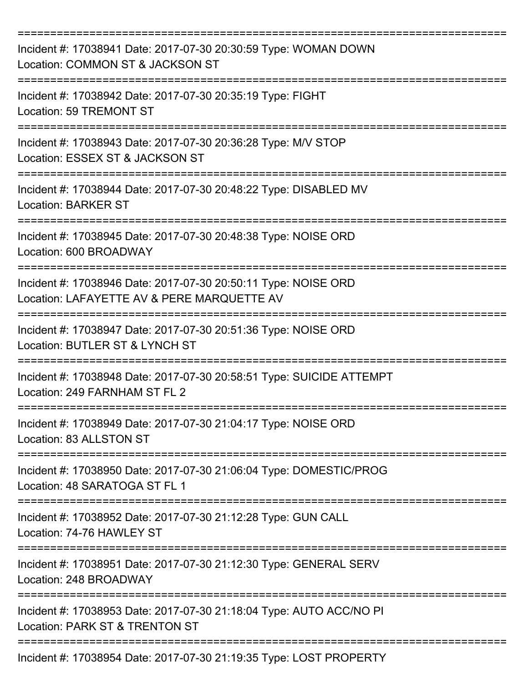| Incident #: 17038941 Date: 2017-07-30 20:30:59 Type: WOMAN DOWN<br>Location: COMMON ST & JACKSON ST          |
|--------------------------------------------------------------------------------------------------------------|
| Incident #: 17038942 Date: 2017-07-30 20:35:19 Type: FIGHT<br>Location: 59 TREMONT ST                        |
| Incident #: 17038943 Date: 2017-07-30 20:36:28 Type: M/V STOP<br>Location: ESSEX ST & JACKSON ST             |
| Incident #: 17038944 Date: 2017-07-30 20:48:22 Type: DISABLED MV<br><b>Location: BARKER ST</b>               |
| Incident #: 17038945 Date: 2017-07-30 20:48:38 Type: NOISE ORD<br>Location: 600 BROADWAY                     |
| Incident #: 17038946 Date: 2017-07-30 20:50:11 Type: NOISE ORD<br>Location: LAFAYETTE AV & PERE MARQUETTE AV |
| Incident #: 17038947 Date: 2017-07-30 20:51:36 Type: NOISE ORD<br>Location: BUTLER ST & LYNCH ST             |
| Incident #: 17038948 Date: 2017-07-30 20:58:51 Type: SUICIDE ATTEMPT<br>Location: 249 FARNHAM ST FL 2        |
| Incident #: 17038949 Date: 2017-07-30 21:04:17 Type: NOISE ORD<br>Location: 83 ALLSTON ST                    |
| Incident #: 17038950 Date: 2017-07-30 21:06:04 Type: DOMESTIC/PROG<br>Location: 48 SARATOGA ST FL 1          |
| Incident #: 17038952 Date: 2017-07-30 21:12:28 Type: GUN CALL<br>Location: 74-76 HAWLEY ST                   |
| Incident #: 17038951 Date: 2017-07-30 21:12:30 Type: GENERAL SERV<br>Location: 248 BROADWAY                  |
| Incident #: 17038953 Date: 2017-07-30 21:18:04 Type: AUTO ACC/NO PI<br>Location: PARK ST & TRENTON ST        |
| Incident #: 17038954 Date: 2017-07-30 21:19:35 Type: LOST PROPERTY                                           |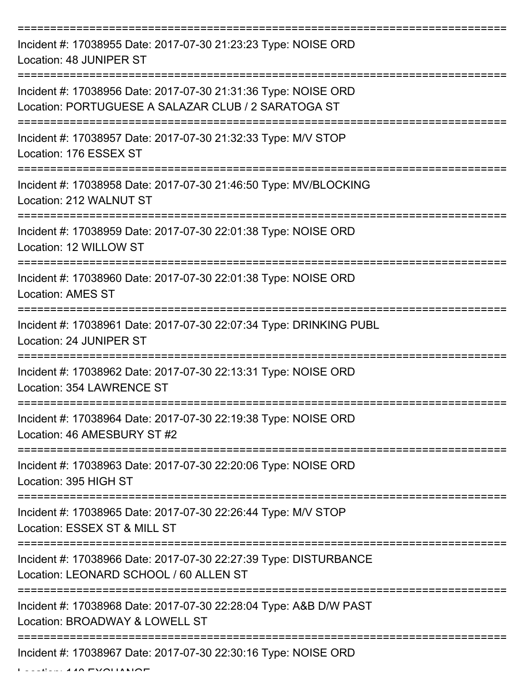| Incident #: 17038955 Date: 2017-07-30 21:23:23 Type: NOISE ORD<br>Location: 48 JUNIPER ST                             |
|-----------------------------------------------------------------------------------------------------------------------|
| Incident #: 17038956 Date: 2017-07-30 21:31:36 Type: NOISE ORD<br>Location: PORTUGUESE A SALAZAR CLUB / 2 SARATOGA ST |
| Incident #: 17038957 Date: 2017-07-30 21:32:33 Type: M/V STOP<br>Location: 176 ESSEX ST                               |
| Incident #: 17038958 Date: 2017-07-30 21:46:50 Type: MV/BLOCKING<br>Location: 212 WALNUT ST                           |
| Incident #: 17038959 Date: 2017-07-30 22:01:38 Type: NOISE ORD<br>Location: 12 WILLOW ST                              |
| Incident #: 17038960 Date: 2017-07-30 22:01:38 Type: NOISE ORD<br><b>Location: AMES ST</b>                            |
| Incident #: 17038961 Date: 2017-07-30 22:07:34 Type: DRINKING PUBL<br>Location: 24 JUNIPER ST                         |
| Incident #: 17038962 Date: 2017-07-30 22:13:31 Type: NOISE ORD<br>Location: 354 LAWRENCE ST                           |
| Incident #: 17038964 Date: 2017-07-30 22:19:38 Type: NOISE ORD<br>Location: 46 AMESBURY ST #2                         |
| Incident #: 17038963 Date: 2017-07-30 22:20:06 Type: NOISE ORD<br>Location: 395 HIGH ST                               |
| Incident #: 17038965 Date: 2017-07-30 22:26:44 Type: M/V STOP<br>Location: ESSEX ST & MILL ST                         |
| Incident #: 17038966 Date: 2017-07-30 22:27:39 Type: DISTURBANCE<br>Location: LEONARD SCHOOL / 60 ALLEN ST            |
| Incident #: 17038968 Date: 2017-07-30 22:28:04 Type: A&B D/W PAST<br>Location: BROADWAY & LOWELL ST                   |
| Incident #: 17038967 Date: 2017-07-30 22:30:16 Type: NOISE ORD                                                        |

Location: 140 EXCHANGE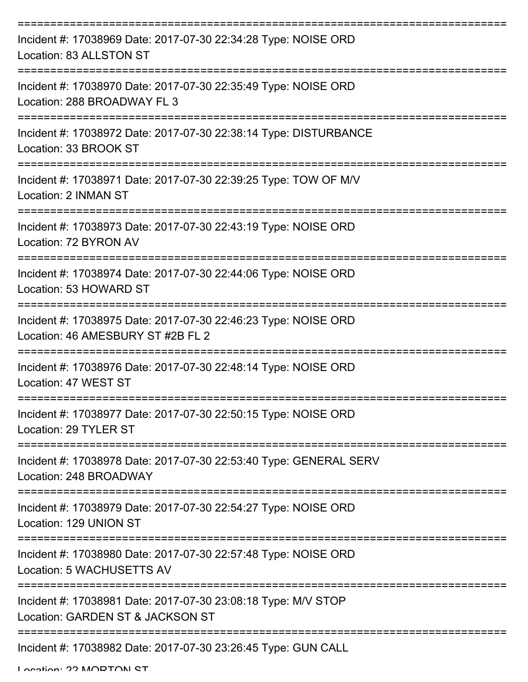| Incident #: 17038969 Date: 2017-07-30 22:34:28 Type: NOISE ORD<br>Location: 83 ALLSTON ST                              |
|------------------------------------------------------------------------------------------------------------------------|
| Incident #: 17038970 Date: 2017-07-30 22:35:49 Type: NOISE ORD<br>Location: 288 BROADWAY FL 3                          |
| Incident #: 17038972 Date: 2017-07-30 22:38:14 Type: DISTURBANCE<br>Location: 33 BROOK ST                              |
| Incident #: 17038971 Date: 2017-07-30 22:39:25 Type: TOW OF M/V<br>Location: 2 INMAN ST                                |
| Incident #: 17038973 Date: 2017-07-30 22:43:19 Type: NOISE ORD<br>Location: 72 BYRON AV                                |
| Incident #: 17038974 Date: 2017-07-30 22:44:06 Type: NOISE ORD<br>Location: 53 HOWARD ST<br>========================== |
| Incident #: 17038975 Date: 2017-07-30 22:46:23 Type: NOISE ORD<br>Location: 46 AMESBURY ST #2B FL 2                    |
| Incident #: 17038976 Date: 2017-07-30 22:48:14 Type: NOISE ORD<br>Location: 47 WEST ST                                 |
| Incident #: 17038977 Date: 2017-07-30 22:50:15 Type: NOISE ORD<br>Location: 29 TYLER ST                                |
| Incident #: 17038978 Date: 2017-07-30 22:53:40 Type: GENERAL SERV<br>Location: 248 BROADWAY                            |
| Incident #: 17038979 Date: 2017-07-30 22:54:27 Type: NOISE ORD<br>Location: 129 UNION ST                               |
| Incident #: 17038980 Date: 2017-07-30 22:57:48 Type: NOISE ORD<br>Location: 5 WACHUSETTS AV                            |
| Incident #: 17038981 Date: 2017-07-30 23:08:18 Type: M/V STOP<br>Location: GARDEN ST & JACKSON ST                      |
| Incident #: 17038982 Date: 2017-07-30 23:26:45 Type: GUN CALL                                                          |

Location: 22 MODTON ST